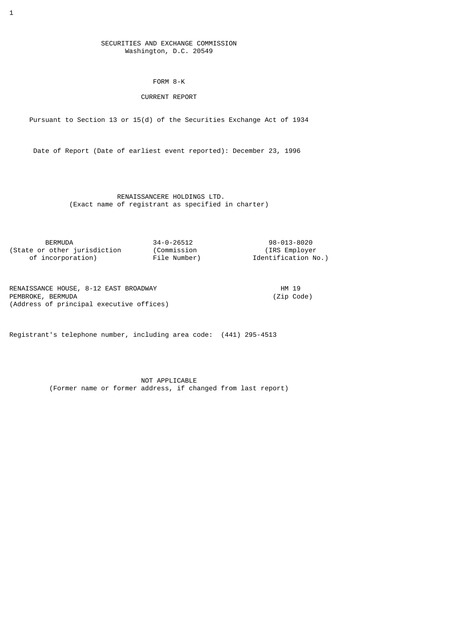## SECURITIES AND EXCHANGE COMMISSION Washington, D.C. 20549

FORM 8-K

## CURRENT REPORT

Pursuant to Section 13 or 15(d) of the Securities Exchange Act of 1934

Date of Report (Date of earliest event reported): December 23, 1996

 RENAISSANCERE HOLDINGS LTD. (Exact name of registrant as specified in charter)

 BERMUDA 34-0-26512 98-013-8020 (State or other jurisdiction (Commission (IRS Employer of incorporation) File Number) Identification No.)

RENAISSANCE HOUSE, 8-12 EAST BROADWAY (21p Code)<br>PEMBROKE, BERMUDA PEMBROKE, BERMUDA (Address of principal executive offices)

Registrant's telephone number, including area code: (441) 295-4513

 NOT APPLICABLE (Former name or former address, if changed from last report)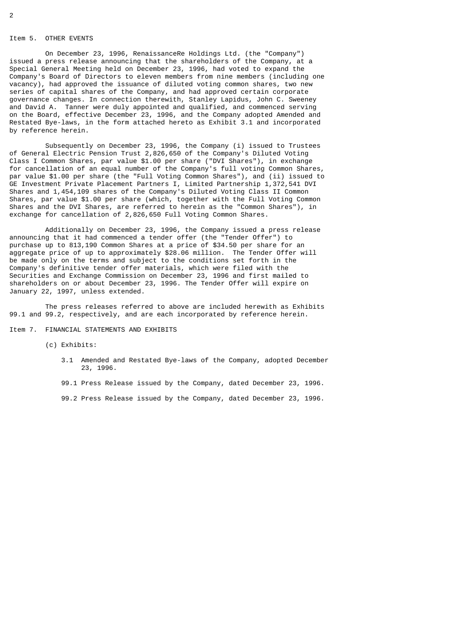### Item 5. OTHER EVENTS

 On December 23, 1996, RenaissanceRe Holdings Ltd. (the "Company") issued a press release announcing that the shareholders of the Company, at a Special General Meeting held on December 23, 1996, had voted to expand the Company's Board of Directors to eleven members from nine members (including one vacancy), had approved the issuance of diluted voting common shares, two new series of capital shares of the Company, and had approved certain corporate governance changes. In connection therewith, Stanley Lapidus, John C. Sweeney and David A. Tanner were duly appointed and qualified, and commenced serving on the Board, effective December 23, 1996, and the Company adopted Amended and Restated Bye-laws, in the form attached hereto as Exhibit 3.1 and incorporated by reference herein.

 Subsequently on December 23, 1996, the Company (i) issued to Trustees of General Electric Pension Trust 2,826,650 of the Company's Diluted Voting Class I Common Shares, par value \$1.00 per share ("DVI Shares"), in exchange for cancellation of an equal number of the Company's full voting Common Shares, par value \$1.00 per share (the "Full Voting Common Shares"), and (ii) issued to GE Investment Private Placement Partners I, Limited Partnership 1,372,541 DVI Shares and 1,454,109 shares of the Company's Diluted Voting Class II Common Shares, par value \$1.00 per share (which, together with the Full Voting Common Shares and the DVI Shares, are referred to herein as the "Common Shares"), in exchange for cancellation of 2,826,650 Full Voting Common Shares.

 Additionally on December 23, 1996, the Company issued a press release announcing that it had commenced a tender offer (the "Tender Offer") to purchase up to 813,190 Common Shares at a price of \$34.50 per share for an aggregate price of up to approximately \$28.06 million. The Tender Offer will be made only on the terms and subject to the conditions set forth in the Company's definitive tender offer materials, which were filed with the Securities and Exchange Commission on December 23, 1996 and first mailed to shareholders on or about December 23, 1996. The Tender Offer will expire on January 22, 1997, unless extended.

 The press releases referred to above are included herewith as Exhibits 99.1 and 99.2, respectively, and are each incorporated by reference herein.

### Item 7. FINANCIAL STATEMENTS AND EXHIBITS

(c) Exhibits:

 3.1 Amended and Restated Bye-laws of the Company, adopted December 23, 1996.

99.1 Press Release issued by the Company, dated December 23, 1996.

99.2 Press Release issued by the Company, dated December 23, 1996.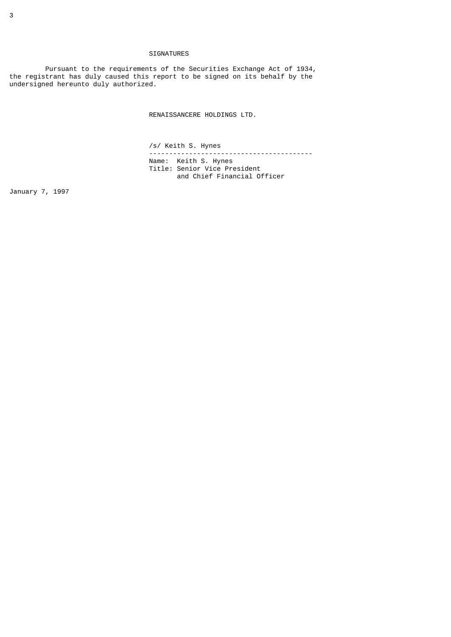## SIGNATURES

 Pursuant to the requirements of the Securities Exchange Act of 1934, the registrant has duly caused this report to be signed on its behalf by the undersigned hereunto duly authorized.

RENAISSANCERE HOLDINGS LTD.

/s/ Keith S. Hynes

 ----------------------------------------- Name: Keith S. Hynes Title: Senior Vice President and Chief Financial Officer

January 7, 1997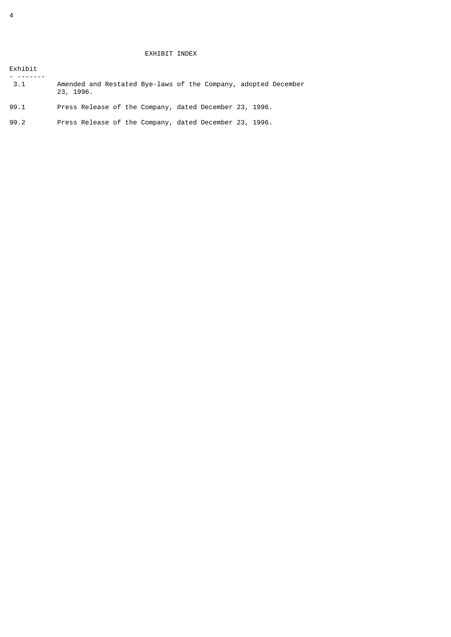# EXHIBIT INDEX

| Exhibit |                                                                             |
|---------|-----------------------------------------------------------------------------|
| 3.1     | Amended and Restated Bye-laws of the Company, adopted December<br>23, 1996. |
| 99.1    | Press Release of the Company, dated December 23, 1996.                      |
| 99.2    | Press Release of the Company, dated December 23, 1996.                      |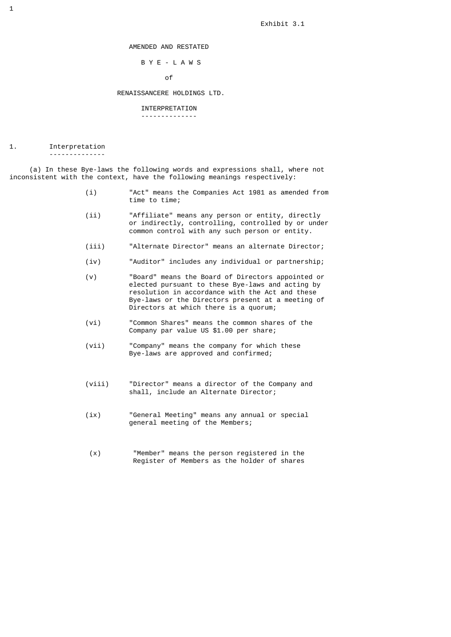Exhibit 3.1

AMENDED AND RESTATED

## B Y E - L A W S

of the contract of the contract of the contract of the contract of the contract of the contract of the contract of the contract of the contract of the contract of the contract of the contract of the contract of the contrac

### RENAISSANCERE HOLDINGS LTD.

### INTERPRETATION

--------------

## 1. Interpretation

--------------

 (a) In these Bye-laws the following words and expressions shall, where not inconsistent with the context, have the following meanings respectively:

- (i) "Act" means the Companies Act 1981 as amended from time to time;
- (ii) "Affiliate" means any person or entity, directly or indirectly, controlling, controlled by or under common control with any such person or entity.
	- (iii) "Alternate Director" means an alternate Director;
	- (iv) "Auditor" includes any individual or partnership;
	- (v) "Board" means the Board of Directors appointed or elected pursuant to these Bye-laws and acting by resolution in accordance with the Act and these Bye-laws or the Directors present at a meeting of Directors at which there is a quorum;
	- (vi) "Common Shares" means the common shares of the Company par value US \$1.00 per share;
	- (vii) "Company" means the company for which these Bye-laws are approved and confirmed;
	- (viii) "Director" means a director of the Company and shall, include an Alternate Director;
	- (ix) "General Meeting" means any annual or special general meeting of the Members;
	- (x) "Member" means the person registered in the Register of Members as the holder of shares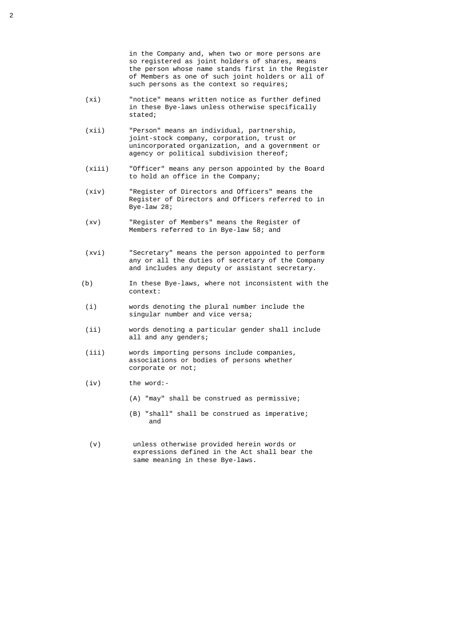in the Company and, when two or more persons are so registered as joint holders of shares, means the person whose name stands first in the Register of Members as one of such joint holders or all of such persons as the context so requires;

- (xi) "notice" means written notice as further defined in these Bye-laws unless otherwise specifically stated;
- (xii) "Person" means an individual, partnership, joint-stock company, corporation, trust or unincorporated organization, and a government or agency or political subdivision thereof;
- (xiii) "Officer" means any person appointed by the Board to hold an office in the Company;
- (xiv) "Register of Directors and Officers" means the Register of Directors and Officers referred to in Bye-law 28;
- (xv) "Register of Members" means the Register of Members referred to in Bye-law 58; and
- (xvi) "Secretary" means the person appointed to perform any or all the duties of secretary of the Company and includes any deputy or assistant secretary.
- (b) In these Bye-laws, where not inconsistent with the context:
- (i) words denoting the plural number include the singular number and vice versa;
- (ii) words denoting a particular gender shall include all and any genders;
- (iii) words importing persons include companies, associations or bodies of persons whether corporate or not;
- (iv) the word:-
	- (A) "may" shall be construed as permissive;
- (B) "shall" shall be construed as imperative; and the contract of the contract of the contract of the contract of the contract of the contract of the contract of the contract of the contract of the contract of the contract of the contract of the contract of the contra
	- (v) unless otherwise provided herein words or expressions defined in the Act shall bear the same meaning in these Bye-laws.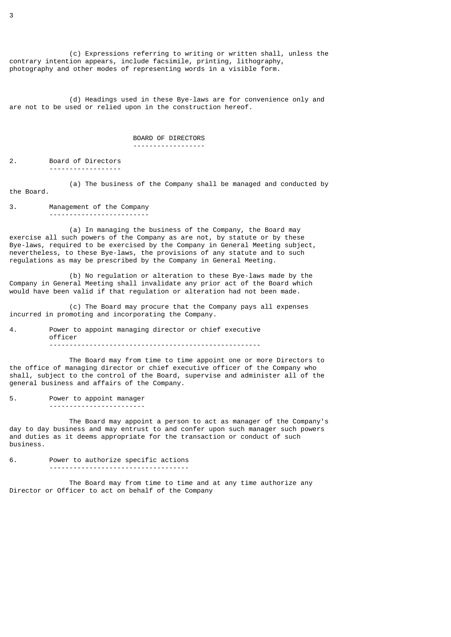(c) Expressions referring to writing or written shall, unless the contrary intention appears, include facsimile, printing, lithography, photography and other modes of representing words in a visible form.

 (d) Headings used in these Bye-laws are for convenience only and are not to be used or relied upon in the construction hereof.

## BOARD OF DIRECTORS

### ------------------

2. Board of Directors ------------------

 (a) The business of the Company shall be managed and conducted by the Board.

3. Management of the Company -------------------------

 (a) In managing the business of the Company, the Board may exercise all such powers of the Company as are not, by statute or by these Bye-laws, required to be exercised by the Company in General Meeting subject, nevertheless, to these Bye-laws, the provisions of any statute and to such regulations as may be prescribed by the Company in General Meeting.

 (b) No regulation or alteration to these Bye-laws made by the Company in General Meeting shall invalidate any prior act of the Board which would have been valid if that regulation or alteration had not been made.

 (c) The Board may procure that the Company pays all expenses incurred in promoting and incorporating the Company.

4. Power to appoint managing director or chief executive officer -----------------------------------------------------

 The Board may from time to time appoint one or more Directors to the office of managing director or chief executive officer of the Company who shall, subject to the control of the Board, supervise and administer all of the general business and affairs of the Company.

5. Power to appoint manager ------------------------

 The Board may appoint a person to act as manager of the Company's day to day business and may entrust to and confer upon such manager such powers and duties as it deems appropriate for the transaction or conduct of such business.

6. Power to authorize specific actions -----------------------------------

 The Board may from time to time and at any time authorize any Director or Officer to act on behalf of the Company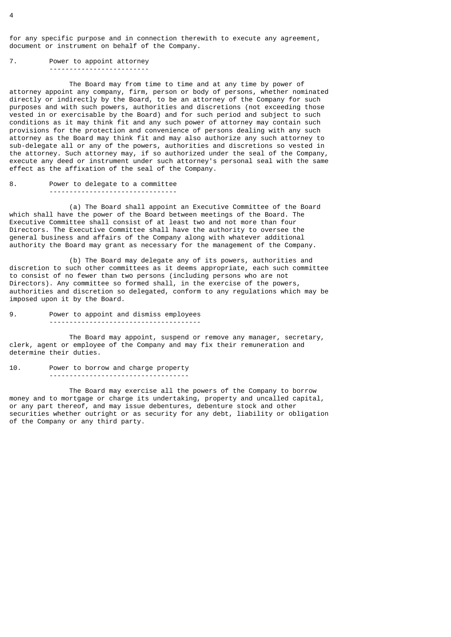for any specific purpose and in connection therewith to execute any agreement, document or instrument on behalf of the Company.

7. Power to appoint attorney -------------------------

 The Board may from time to time and at any time by power of attorney appoint any company, firm, person or body of persons, whether nominated directly or indirectly by the Board, to be an attorney of the Company for such purposes and with such powers, authorities and discretions (not exceeding those vested in or exercisable by the Board) and for such period and subject to such conditions as it may think fit and any such power of attorney may contain such provisions for the protection and convenience of persons dealing with any such attorney as the Board may think fit and may also authorize any such attorney to sub-delegate all or any of the powers, authorities and discretions so vested in the attorney. Such attorney may, if so authorized under the seal of the Company, execute any deed or instrument under such attorney's personal seal with the same effect as the affixation of the seal of the Company.

8. Power to delegate to a committee --------------------------------

 (a) The Board shall appoint an Executive Committee of the Board which shall have the power of the Board between meetings of the Board. The Executive Committee shall consist of at least two and not more than four Directors. The Executive Committee shall have the authority to oversee the general business and affairs of the Company along with whatever additional authority the Board may grant as necessary for the management of the Company.

 (b) The Board may delegate any of its powers, authorities and discretion to such other committees as it deems appropriate, each such committee to consist of no fewer than two persons (including persons who are not Directors). Any committee so formed shall, in the exercise of the powers, authorities and discretion so delegated, conform to any regulations which may be imposed upon it by the Board.

9. Power to appoint and dismiss employees --------------------------------------

 The Board may appoint, suspend or remove any manager, secretary, clerk, agent or employee of the Company and may fix their remuneration and determine their duties.

10. Power to borrow and charge property -----------------------------------

 The Board may exercise all the powers of the Company to borrow money and to mortgage or charge its undertaking, property and uncalled capital, or any part thereof, and may issue debentures, debenture stock and other securities whether outright or as security for any debt, liability or obligation of the Company or any third party.

 $\overline{A}$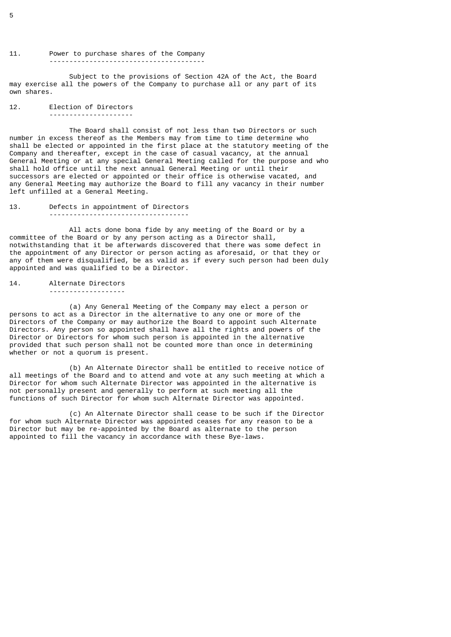# 11. Power to purchase shares of the Company

 Subject to the provisions of Section 42A of the Act, the Board may exercise all the powers of the Company to purchase all or any part of its own shares.

## 12. Election of Directors ---------------------

 The Board shall consist of not less than two Directors or such number in excess thereof as the Members may from time to time determine who shall be elected or appointed in the first place at the statutory meeting of the Company and thereafter, except in the case of casual vacancy, at the annual General Meeting or at any special General Meeting called for the purpose and who shall hold office until the next annual General Meeting or until their successors are elected or appointed or their office is otherwise vacated, and any General Meeting may authorize the Board to fill any vacancy in their number left unfilled at a General Meeting.

13. Defects in appointment of Directors -----------------------------------

All acts done bona fide by any meeting of the Board or by a committee of the Board or by any person acting as a Director shall, notwithstanding that it be afterwards discovered that there was some defect in the appointment of any Director or person acting as aforesaid, or that they or any of them were disqualified, be as valid as if every such person had been duly appointed and was qualified to be a Director.

14. Alternate Directors -------------------

 (a) Any General Meeting of the Company may elect a person or persons to act as a Director in the alternative to any one or more of the Directors of the Company or may authorize the Board to appoint such Alternate Directors. Any person so appointed shall have all the rights and powers of the Director or Directors for whom such person is appointed in the alternative provided that such person shall not be counted more than once in determining whether or not a quorum is present.

 (b) An Alternate Director shall be entitled to receive notice of all meetings of the Board and to attend and vote at any such meeting at which a Director for whom such Alternate Director was appointed in the alternative is not personally present and generally to perform at such meeting all the functions of such Director for whom such Alternate Director was appointed.

 (c) An Alternate Director shall cease to be such if the Director for whom such Alternate Director was appointed ceases for any reason to be a Director but may be re-appointed by the Board as alternate to the person appointed to fill the vacancy in accordance with these Bye-laws.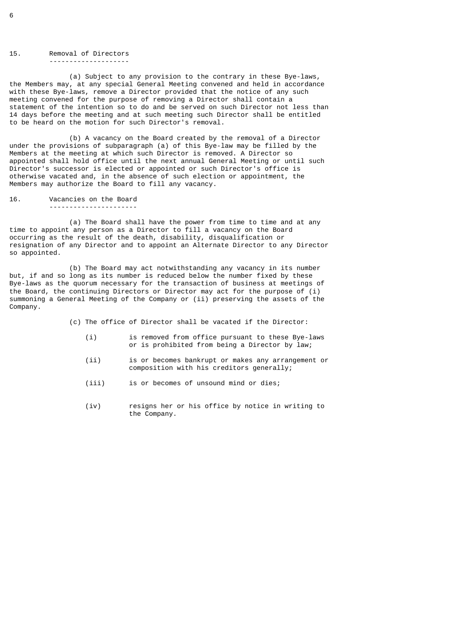15. Removal of Directors --------------------

 (a) Subject to any provision to the contrary in these Bye-laws, the Members may, at any special General Meeting convened and held in accordance with these Bye-laws, remove a Director provided that the notice of any such meeting convened for the purpose of removing a Director shall contain a statement of the intention so to do and be served on such Director not less than 14 days before the meeting and at such meeting such Director shall be entitled to be heard on the motion for such Director's removal.

 (b) A vacancy on the Board created by the removal of a Director under the provisions of subparagraph (a) of this Bye-law may be filled by the Members at the meeting at which such Director is removed. A Director so appointed shall hold office until the next annual General Meeting or until such Director's successor is elected or appointed or such Director's office is otherwise vacated and, in the absence of such election or appointment, the Members may authorize the Board to fill any vacancy.

16. Vacancies on the Board

----------------------

 (a) The Board shall have the power from time to time and at any time to appoint any person as a Director to fill a vacancy on the Board occurring as the result of the death, disability, disqualification or resignation of any Director and to appoint an Alternate Director to any Director so appointed.

 (b) The Board may act notwithstanding any vacancy in its number but, if and so long as its number is reduced below the number fixed by these Bye-laws as the quorum necessary for the transaction of business at meetings of the Board, the continuing Directors or Director may act for the purpose of (i) summoning a General Meeting of the Company or (ii) preserving the assets of the Company.

(c) The office of Director shall be vacated if the Director:

- (i) is removed from office pursuant to these Bye-laws or is prohibited from being a Director by law;
- (ii) is or becomes bankrupt or makes any arrangement or composition with his creditors generally;
- (iii) is or becomes of unsound mind or dies;
- (iv) resigns her or his office by notice in writing to the Company.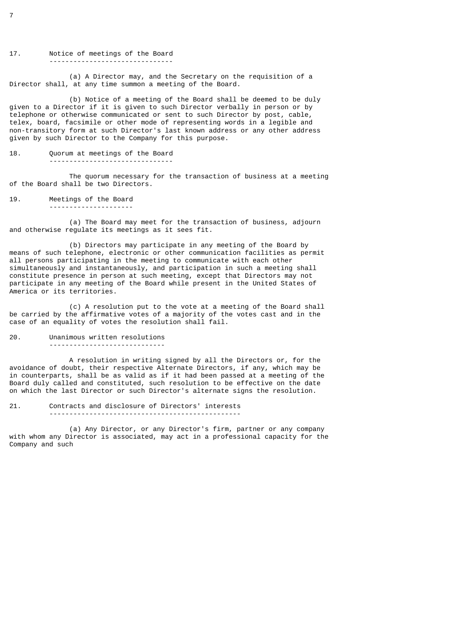### 17. Notice of meetings of the Board -------------------------------

 (a) A Director may, and the Secretary on the requisition of a Director shall, at any time summon a meeting of the Board.

 (b) Notice of a meeting of the Board shall be deemed to be duly given to a Director if it is given to such Director verbally in person or by telephone or otherwise communicated or sent to such Director by post, cable, telex, board, facsimile or other mode of representing words in a legible and non-transitory form at such Director's last known address or any other address given by such Director to the Company for this purpose.

# 18. Quorum at meetings of the Board

---------------------

-------------------------------

 The quorum necessary for the transaction of business at a meeting of the Board shall be two Directors.

19. Meetings of the Board

 (a) The Board may meet for the transaction of business, adjourn and otherwise regulate its meetings as it sees fit.

 (b) Directors may participate in any meeting of the Board by means of such telephone, electronic or other communication facilities as permit all persons participating in the meeting to communicate with each other simultaneously and instantaneously, and participation in such a meeting shall constitute presence in person at such meeting, except that Directors may not participate in any meeting of the Board while present in the United States of America or its territories.

 (c) A resolution put to the vote at a meeting of the Board shall be carried by the affirmative votes of a majority of the votes cast and in the case of an equality of votes the resolution shall fail.

### 20. Unanimous written resolutions

-----------------------------

 A resolution in writing signed by all the Directors or, for the avoidance of doubt, their respective Alternate Directors, if any, which may be in counterparts, shall be as valid as if it had been passed at a meeting of the Board duly called and constituted, such resolution to be effective on the date on which the last Director or such Director's alternate signs the resolution.

21. Contracts and disclosure of Directors' interests ------------------------------------------------

 (a) Any Director, or any Director's firm, partner or any company with whom any Director is associated, may act in a professional capacity for the Company and such

7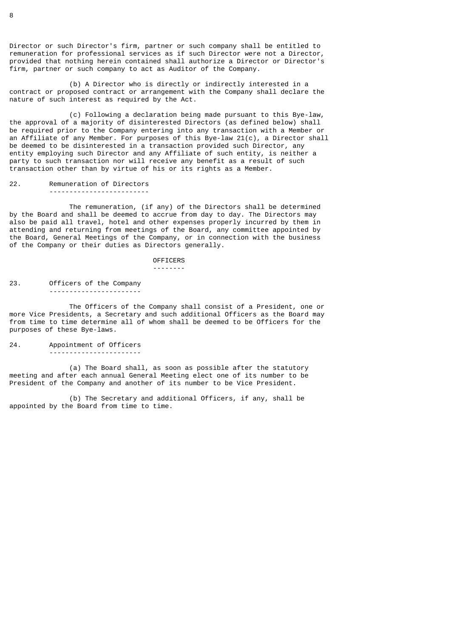Director or such Director's firm, partner or such company shall be entitled to remuneration for professional services as if such Director were not a Director, provided that nothing herein contained shall authorize a Director or Director's firm, partner or such company to act as Auditor of the Company.

 (b) A Director who is directly or indirectly interested in a contract or proposed contract or arrangement with the Company shall declare the nature of such interest as required by the Act.

 (c) Following a declaration being made pursuant to this Bye-law, the approval of a majority of disinterested Directors (as defined below) shall be required prior to the Company entering into any transaction with a Member or an Affiliate of any Member. For purposes of this Bye-law 21(c), a Director shall be deemed to be disinterested in a transaction provided such Director, any entity employing such Director and any Affiliate of such entity, is neither a party to such transaction nor will receive any benefit as a result of such transaction other than by virtue of his or its rights as a Member.

22. Remuneration of Directors -------------------------

 The remuneration, (if any) of the Directors shall be determined by the Board and shall be deemed to accrue from day to day. The Directors may also be paid all travel, hotel and other expenses properly incurred by them in attending and returning from meetings of the Board, any committee appointed by the Board, General Meetings of the Company, or in connection with the business of the Company or their duties as Directors generally.

OFFICERS

--------

23. Officers of the Company -----------------------

 The Officers of the Company shall consist of a President, one or more Vice Presidents, a Secretary and such additional Officers as the Board may from time to time determine all of whom shall be deemed to be Officers for the purposes of these Bye-laws.

## 24. Appointment of Officers -----------------------

 (a) The Board shall, as soon as possible after the statutory meeting and after each annual General Meeting elect one of its number to be President of the Company and another of its number to be Vice President.

 (b) The Secretary and additional Officers, if any, shall be appointed by the Board from time to time.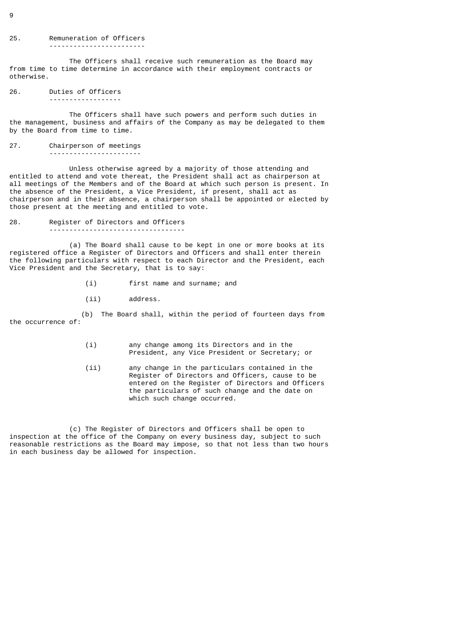### 25. Remuneration of Officers ------------------------

 The Officers shall receive such remuneration as the Board may from time to time determine in accordance with their employment contracts or otherwise.

26. Duties of Officers ------------------

 The Officers shall have such powers and perform such duties in the management, business and affairs of the Company as may be delegated to them by the Board from time to time.

### 27. Chairperson of meetings -----------------------

 Unless otherwise agreed by a majority of those attending and entitled to attend and vote thereat, the President shall act as chairperson at all meetings of the Members and of the Board at which such person is present. In the absence of the President, a Vice President, if present, shall act as chairperson and in their absence, a chairperson shall be appointed or elected by those present at the meeting and entitled to vote.

## 28. Register of Directors and Officers ----------------------------------

 (a) The Board shall cause to be kept in one or more books at its registered office a Register of Directors and Officers and shall enter therein the following particulars with respect to each Director and the President, each Vice President and the Secretary, that is to say:

- (i) first name and surname; and
- (ii) address.

 (b) The Board shall, within the period of fourteen days from the occurrence of:

- (i) any change among its Directors and in the President, any Vice President or Secretary; or
- (ii) any change in the particulars contained in the Register of Directors and Officers, cause to be entered on the Register of Directors and Officers the particulars of such change and the date on which such change occurred.

 (c) The Register of Directors and Officers shall be open to inspection at the office of the Company on every business day, subject to such reasonable restrictions as the Board may impose, so that not less than two hours in each business day be allowed for inspection.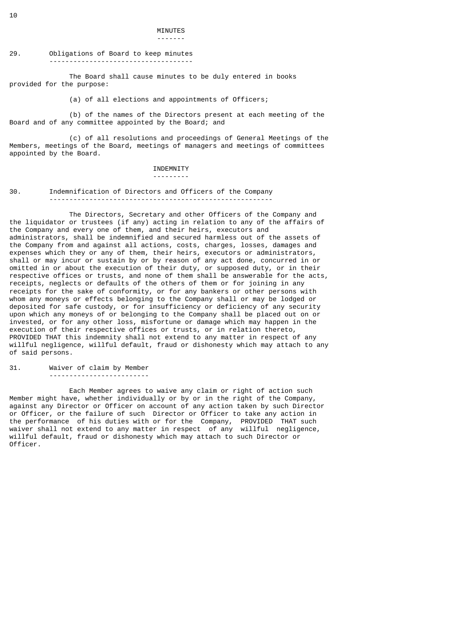## MINUTES -------

## 29. Obligations of Board to keep minutes ------------------------------------

 The Board shall cause minutes to be duly entered in books provided for the purpose:

(a) of all elections and appointments of Officers;

 (b) of the names of the Directors present at each meeting of the Board and of any committee appointed by the Board; and

 (c) of all resolutions and proceedings of General Meetings of the Members, meetings of the Board, meetings of managers and meetings of committees appointed by the Board.

## INDEMNITY

### ---------

### 30. Indemnification of Directors and Officers of the Company --------------------------------------------------------

 The Directors, Secretary and other Officers of the Company and the liquidator or trustees (if any) acting in relation to any of the affairs of the Company and every one of them, and their heirs, executors and administrators, shall be indemnified and secured harmless out of the assets of the Company from and against all actions, costs, charges, losses, damages and expenses which they or any of them, their heirs, executors or administrators, shall or may incur or sustain by or by reason of any act done, concurred in or omitted in or about the execution of their duty, or supposed duty, or in their respective offices or trusts, and none of them shall be answerable for the acts, receipts, neglects or defaults of the others of them or for joining in any receipts for the sake of conformity, or for any bankers or other persons with whom any moneys or effects belonging to the Company shall or may be lodged or deposited for safe custody, or for insufficiency or deficiency of any security upon which any moneys of or belonging to the Company shall be placed out on or invested, or for any other loss, misfortune or damage which may happen in the execution of their respective offices or trusts, or in relation thereto, PROVIDED THAT this indemnity shall not extend to any matter in respect of any willful negligence, willful default, fraud or dishonesty which may attach to any of said persons.

# 31. Waiver of claim by Member

-------------------------

 Each Member agrees to waive any claim or right of action such Member might have, whether individually or by or in the right of the Company, against any Director or Officer on account of any action taken by such Director or Officer, or the failure of such Director or Officer to take any action in the performance of his duties with or for the Company, PROVIDED THAT such waiver shall not extend to any matter in respect of any willful negligence, willful default, fraud or dishonesty which may attach to such Director or Officer.

10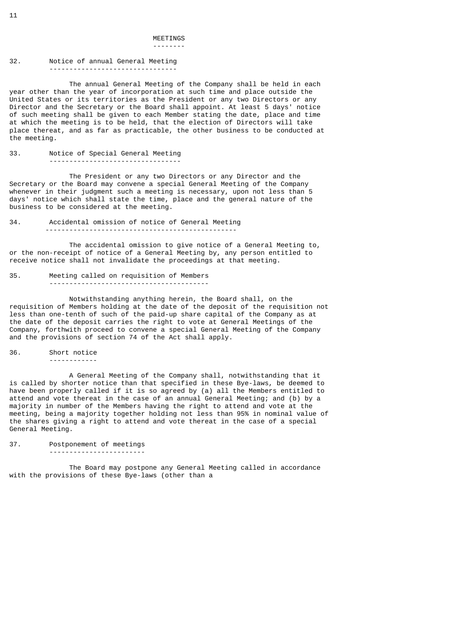# MEETINGS

## --------

### 32. Notice of annual General Meeting --------------------------------

 The annual General Meeting of the Company shall be held in each year other than the year of incorporation at such time and place outside the United States or its territories as the President or any two Directors or any Director and the Secretary or the Board shall appoint. At least 5 days' notice of such meeting shall be given to each Member stating the date, place and time at which the meeting is to be held, that the election of Directors will take place thereat, and as far as practicable, the other business to be conducted at the meeting.

# 33. Notice of Special General Meeting

---------------------------------

 The President or any two Directors or any Director and the Secretary or the Board may convene a special General Meeting of the Company whenever in their judgment such a meeting is necessary, upon not less than 5 days' notice which shall state the time, place and the general nature of the business to be considered at the meeting.

### 34. Accidental omission of notice of General Meeting ------------------------------------------------

 The accidental omission to give notice of a General Meeting to, or the non-receipt of notice of a General Meeting by, any person entitled to receive notice shall not invalidate the proceedings at that meeting.

### 35. Meeting called on requisition of Members ----------------------------------------

 Notwithstanding anything herein, the Board shall, on the requisition of Members holding at the date of the deposit of the requisition not less than one-tenth of such of the paid-up share capital of the Company as at the date of the deposit carries the right to vote at General Meetings of the Company, forthwith proceed to convene a special General Meeting of the Company and the provisions of section 74 of the Act shall apply.

## 36. Short notice

------------

 A General Meeting of the Company shall, notwithstanding that it is called by shorter notice than that specified in these Bye-laws, be deemed to have been properly called if it is so agreed by (a) all the Members entitled to attend and vote thereat in the case of an annual General Meeting; and (b) by a majority in number of the Members having the right to attend and vote at the meeting, being a majority together holding not less than 95% in nominal value of the shares giving a right to attend and vote thereat in the case of a special General Meeting.

## 37. Postponement of meetings

------------------------

 The Board may postpone any General Meeting called in accordance with the provisions of these Bye-laws (other than a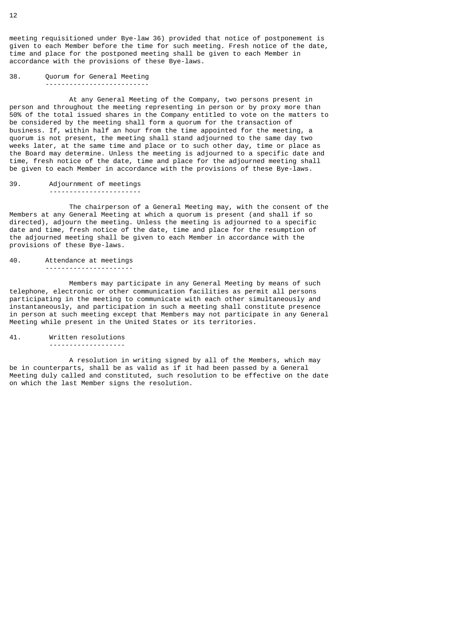meeting requisitioned under Bye-law 36) provided that notice of postponement is given to each Member before the time for such meeting. Fresh notice of the date, time and place for the postponed meeting shall be given to each Member in accordance with the provisions of these Bye-laws.

38. Quorum for General Meeting --------------------------

 At any General Meeting of the Company, two persons present in person and throughout the meeting representing in person or by proxy more than 50% of the total issued shares in the Company entitled to vote on the matters to be considered by the meeting shall form a quorum for the transaction of business. If, within half an hour from the time appointed for the meeting, a quorum is not present, the meeting shall stand adjourned to the same day two weeks later, at the same time and place or to such other day, time or place as the Board may determine. Unless the meeting is adjourned to a specific date and time, fresh notice of the date, time and place for the adjourned meeting shall be given to each Member in accordance with the provisions of these Bye-laws.

39. Adjournment of meetings -----------------------

 The chairperson of a General Meeting may, with the consent of the Members at any General Meeting at which a quorum is present (and shall if so directed), adjourn the meeting. Unless the meeting is adjourned to a specific date and time, fresh notice of the date, time and place for the resumption of the adjourned meeting shall be given to each Member in accordance with the provisions of these Bye-laws.

# 40. Attendance at meetings

----------------------

 Members may participate in any General Meeting by means of such telephone, electronic or other communication facilities as permit all persons participating in the meeting to communicate with each other simultaneously and instantaneously, and participation in such a meeting shall constitute presence in person at such meeting except that Members may not participate in any General Meeting while present in the United States or its territories.

### 41. Written resolutions

-------------------

 A resolution in writing signed by all of the Members, which may be in counterparts, shall be as valid as if it had been passed by a General Meeting duly called and constituted, such resolution to be effective on the date on which the last Member signs the resolution.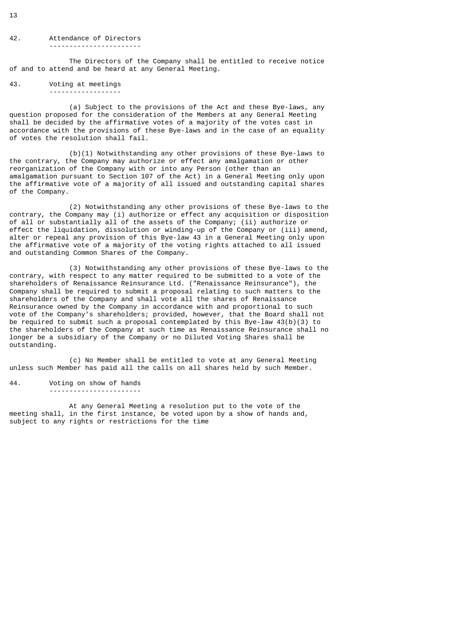### 42. Attendance of Directors -----------------------

 The Directors of the Company shall be entitled to receive notice of and to attend and be heard at any General Meeting.

43. Voting at meetings ------------------

 (a) Subject to the provisions of the Act and these Bye-laws, any question proposed for the consideration of the Members at any General Meeting shall be decided by the affirmative votes of a majority of the votes cast in accordance with the provisions of these Bye-laws and in the case of an equality of votes the resolution shall fail.

 (b)(1) Notwithstanding any other provisions of these Bye-laws to the contrary, the Company may authorize or effect any amalgamation or other reorganization of the Company with or into any Person (other than an amalgamation pursuant to Section 107 of the Act) in a General Meeting only upon the affirmative vote of a majority of all issued and outstanding capital shares of the Company.

 (2) Notwithstanding any other provisions of these Bye-laws to the contrary, the Company may (i) authorize or effect any acquisition or disposition of all or substantially all of the assets of the Company; (ii) authorize or effect the liquidation, dissolution or winding-up of the Company or (iii) amend, alter or repeal any provision of this Bye-law 43 in a General Meeting only upon the affirmative vote of a majority of the voting rights attached to all issued and outstanding Common Shares of the Company.

 (3) Notwithstanding any other provisions of these Bye-laws to the contrary, with respect to any matter required to be submitted to a vote of the shareholders of Renaissance Reinsurance Ltd. ("Renaissance Reinsurance"), the Company shall be required to submit a proposal relating to such matters to the shareholders of the Company and shall vote all the shares of Renaissance Reinsurance owned by the Company in accordance with and proportional to such vote of the Company's shareholders; provided, however, that the Board shall not be required to submit such a proposal contemplated by this Bye-law 43(b)(3) to the shareholders of the Company at such time as Renaissance Reinsurance shall no longer be a subsidiary of the Company or no Diluted Voting Shares shall be outstanding.

 (c) No Member shall be entitled to vote at any General Meeting unless such Member has paid all the calls on all shares held by such Member.

44. Voting on show of hands -----------------------

 At any General Meeting a resolution put to the vote of the meeting shall, in the first instance, be voted upon by a show of hands and, subject to any rights or restrictions for the time

13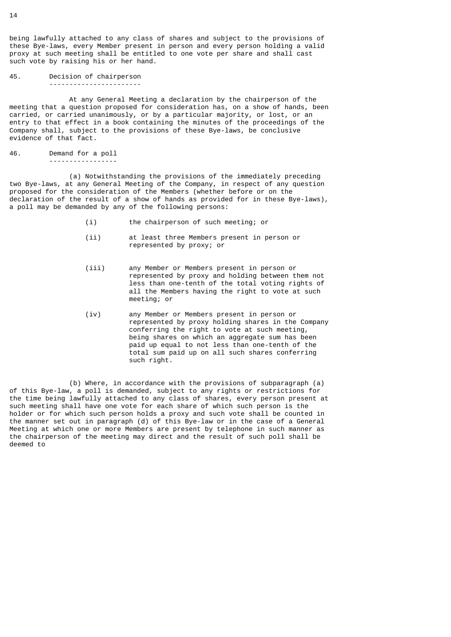being lawfully attached to any class of shares and subject to the provisions of these Bye-laws, every Member present in person and every person holding a valid proxy at such meeting shall be entitled to one vote per share and shall cast such vote by raising his or her hand.

45. Decision of chairperson -----------------------

 At any General Meeting a declaration by the chairperson of the meeting that a question proposed for consideration has, on a show of hands, been carried, or carried unanimously, or by a particular majority, or lost, or an entry to that effect in a book containing the minutes of the proceedings of the Company shall, subject to the provisions of these Bye-laws, be conclusive evidence of that fact.

46. Demand for a poll -----------------

 (a) Notwithstanding the provisions of the immediately preceding two Bye-laws, at any General Meeting of the Company, in respect of any question proposed for the consideration of the Members (whether before or on the declaration of the result of a show of hands as provided for in these Bye-laws), a poll may be demanded by any of the following persons:

- (i) the chairperson of such meeting; or
- (ii) at least three Members present in person or represented by proxy; or
- (iii) any Member or Members present in person or represented by proxy and holding between them not less than one-tenth of the total voting rights of all the Members having the right to vote at such meeting; or
- (iv) any Member or Members present in person or represented by proxy holding shares in the Company conferring the right to vote at such meeting, being shares on which an aggregate sum has been paid up equal to not less than one-tenth of the total sum paid up on all such shares conferring such right.

 (b) Where, in accordance with the provisions of subparagraph (a) of this Bye-law, a poll is demanded, subject to any rights or restrictions for the time being lawfully attached to any class of shares, every person present at such meeting shall have one vote for each share of which such person is the holder or for which such person holds a proxy and such vote shall be counted in the manner set out in paragraph (d) of this Bye-law or in the case of a General Meeting at which one or more Members are present by telephone in such manner as the chairperson of the meeting may direct and the result of such poll shall be deemed to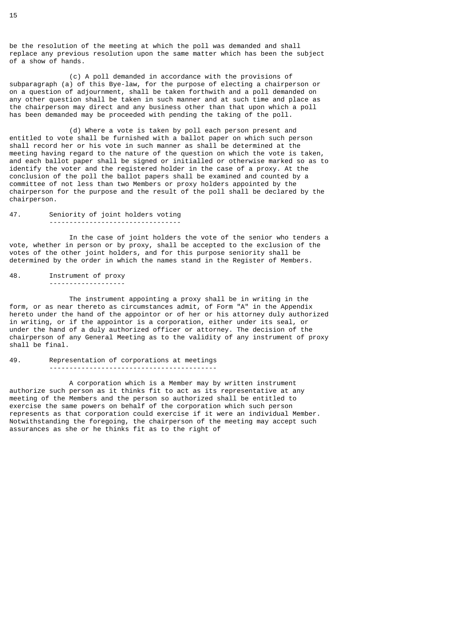be the resolution of the meeting at which the poll was demanded and shall replace any previous resolution upon the same matter which has been the subject of a show of hands.

 (c) A poll demanded in accordance with the provisions of subparagraph (a) of this Bye-law, for the purpose of electing a chairperson or on a question of adjournment, shall be taken forthwith and a poll demanded on any other question shall be taken in such manner and at such time and place as the chairperson may direct and any business other than that upon which a poll has been demanded may be proceeded with pending the taking of the poll.

 (d) Where a vote is taken by poll each person present and entitled to vote shall be furnished with a ballot paper on which such person shall record her or his vote in such manner as shall be determined at the meeting having regard to the nature of the question on which the vote is taken, and each ballot paper shall be signed or initialled or otherwise marked so as to identify the voter and the registered holder in the case of a proxy. At the conclusion of the poll the ballot papers shall be examined and counted by a committee of not less than two Members or proxy holders appointed by the chairperson for the purpose and the result of the poll shall be declared by the chairperson.

### 47. Seniority of joint holders voting ---------------------------------

 In the case of joint holders the vote of the senior who tenders a vote, whether in person or by proxy, shall be accepted to the exclusion of the votes of the other joint holders, and for this purpose seniority shall be determined by the order in which the names stand in the Register of Members.

48. Instrument of proxy -------------------

 The instrument appointing a proxy shall be in writing in the form, or as near thereto as circumstances admit, of Form "A" in the Appendix hereto under the hand of the appointor or of her or his attorney duly authorized in writing, or if the appointor is a corporation, either under its seal, or under the hand of a duly authorized officer or attorney. The decision of the chairperson of any General Meeting as to the validity of any instrument of proxy shall be final.

49. Representation of corporations at meetings ------------------------------------------

 A corporation which is a Member may by written instrument authorize such person as it thinks fit to act as its representative at any meeting of the Members and the person so authorized shall be entitled to exercise the same powers on behalf of the corporation which such person represents as that corporation could exercise if it were an individual Member. Notwithstanding the foregoing, the chairperson of the meeting may accept such assurances as she or he thinks fit as to the right of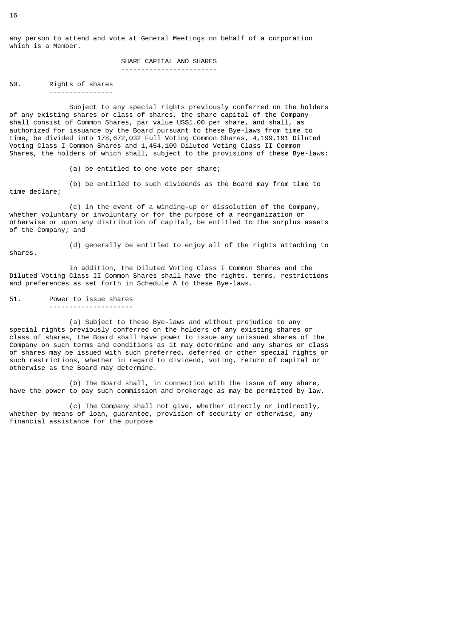any person to attend and vote at General Meetings on behalf of a corporation which is a Member.

> SHARE CAPITAL AND SHARES ------------------------

50. Rights of shares ----------------

 Subject to any special rights previously conferred on the holders of any existing shares or class of shares, the share capital of the Company shall consist of Common Shares, par value US\$1.00 per share, and shall, as authorized for issuance by the Board pursuant to these Bye-laws from time to time, be divided into 178,672,032 Full Voting Common Shares, 4,199,191 Diluted Voting Class I Common Shares and 1,454,109 Diluted Voting Class II Common Shares, the holders of which shall, subject to the provisions of these Bye-laws:

(a) be entitled to one vote per share;

 (b) be entitled to such dividends as the Board may from time to time declare;

 (c) in the event of a winding-up or dissolution of the Company, whether voluntary or involuntary or for the purpose of a reorganization or otherwise or upon any distribution of capital, be entitled to the surplus assets of the Company; and

 (d) generally be entitled to enjoy all of the rights attaching to shares.

 In addition, the Diluted Voting Class I Common Shares and the Diluted Voting Class II Common Shares shall have the rights, terms, restrictions and preferences as set forth in Schedule A to these Bye-laws.

51. Power to issue shares ---------------------

 (a) Subject to these Bye-laws and without prejudice to any special rights previously conferred on the holders of any existing shares or class of shares, the Board shall have power to issue any unissued shares of the Company on such terms and conditions as it may determine and any shares or class of shares may be issued with such preferred, deferred or other special rights or such restrictions, whether in regard to dividend, voting, return of capital or otherwise as the Board may determine.

 (b) The Board shall, in connection with the issue of any share, have the power to pay such commission and brokerage as may be permitted by law.

 (c) The Company shall not give, whether directly or indirectly, whether by means of loan, guarantee, provision of security or otherwise, any financial assistance for the purpose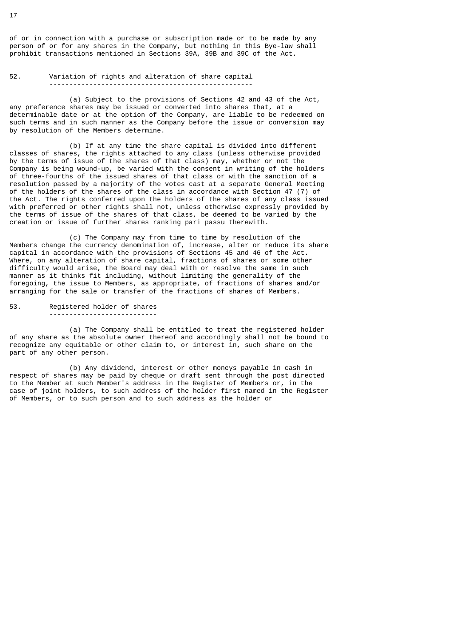of or in connection with a purchase or subscription made or to be made by any person of or for any shares in the Company, but nothing in this Bye-law shall prohibit transactions mentioned in Sections 39A, 39B and 39C of the Act.

## 52. Variation of rights and alteration of share capital ---------------------------------------------------

 (a) Subject to the provisions of Sections 42 and 43 of the Act, any preference shares may be issued or converted into shares that, at a determinable date or at the option of the Company, are liable to be redeemed on such terms and in such manner as the Company before the issue or conversion may by resolution of the Members determine.

 (b) If at any time the share capital is divided into different classes of shares, the rights attached to any class (unless otherwise provided by the terms of issue of the shares of that class) may, whether or not the Company is being wound-up, be varied with the consent in writing of the holders of three-fourths of the issued shares of that class or with the sanction of a resolution passed by a majority of the votes cast at a separate General Meeting of the holders of the shares of the class in accordance with Section 47 (7) of the Act. The rights conferred upon the holders of the shares of any class issued with preferred or other rights shall not, unless otherwise expressly provided by the terms of issue of the shares of that class, be deemed to be varied by the creation or issue of further shares ranking pari passu therewith.

 (c) The Company may from time to time by resolution of the Members change the currency denomination of, increase, alter or reduce its share capital in accordance with the provisions of Sections 45 and 46 of the Act. Where, on any alteration of share capital, fractions of shares or some other difficulty would arise, the Board may deal with or resolve the same in such manner as it thinks fit including, without limiting the generality of the foregoing, the issue to Members, as appropriate, of fractions of shares and/or arranging for the sale or transfer of the fractions of shares of Members.

53. Registered holder of shares ---------------------------

 (a) The Company shall be entitled to treat the registered holder of any share as the absolute owner thereof and accordingly shall not be bound to recognize any equitable or other claim to, or interest in, such share on the part of any other person.

 (b) Any dividend, interest or other moneys payable in cash in respect of shares may be paid by cheque or draft sent through the post directed to the Member at such Member's address in the Register of Members or, in the case of joint holders, to such address of the holder first named in the Register of Members, or to such person and to such address as the holder or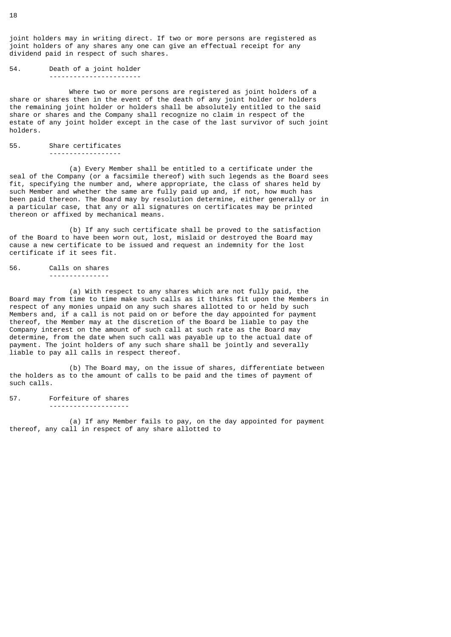joint holders may in writing direct. If two or more persons are registered as joint holders of any shares any one can give an effectual receipt for any dividend paid in respect of such shares.

54. Death of a joint holder -----------------------

 Where two or more persons are registered as joint holders of a share or shares then in the event of the death of any joint holder or holders the remaining joint holder or holders shall be absolutely entitled to the said share or shares and the Company shall recognize no claim in respect of the estate of any joint holder except in the case of the last survivor of such joint holders.

55. Share certificates ------------------

 (a) Every Member shall be entitled to a certificate under the seal of the Company (or a facsimile thereof) with such legends as the Board sees fit, specifying the number and, where appropriate, the class of shares held by such Member and whether the same are fully paid up and, if not, how much has been paid thereon. The Board may by resolution determine, either generally or in a particular case, that any or all signatures on certificates may be printed thereon or affixed by mechanical means.

 (b) If any such certificate shall be proved to the satisfaction of the Board to have been worn out, lost, mislaid or destroyed the Board may cause a new certificate to be issued and request an indemnity for the lost certificate if it sees fit.

56. Calls on shares ---------------

 (a) With respect to any shares which are not fully paid, the Board may from time to time make such calls as it thinks fit upon the Members in respect of any monies unpaid on any such shares allotted to or held by such Members and, if a call is not paid on or before the day appointed for payment thereof, the Member may at the discretion of the Board be liable to pay the Company interest on the amount of such call at such rate as the Board may determine, from the date when such call was payable up to the actual date of payment. The joint holders of any such share shall be jointly and severally liable to pay all calls in respect thereof.

 (b) The Board may, on the issue of shares, differentiate between the holders as to the amount of calls to be paid and the times of payment of such calls.

57. Forfeiture of shares --------------------

 (a) If any Member fails to pay, on the day appointed for payment thereof, any call in respect of any share allotted to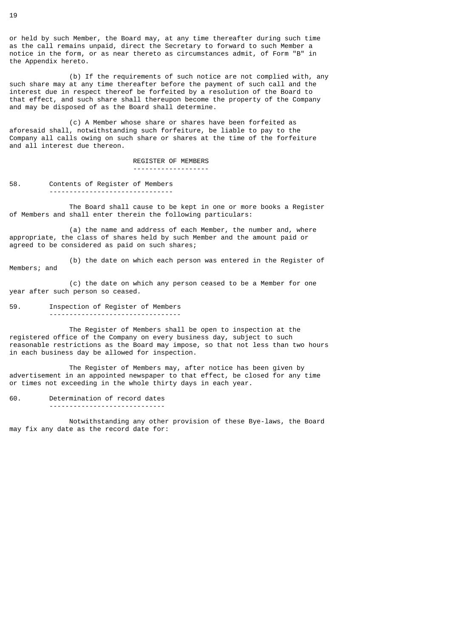or held by such Member, the Board may, at any time thereafter during such time as the call remains unpaid, direct the Secretary to forward to such Member a notice in the form, or as near thereto as circumstances admit, of Form "B" in the Appendix hereto.

 (b) If the requirements of such notice are not complied with, any such share may at any time thereafter before the payment of such call and the interest due in respect thereof be forfeited by a resolution of the Board to that effect, and such share shall thereupon become the property of the Company and may be disposed of as the Board shall determine.

 (c) A Member whose share or shares have been forfeited as aforesaid shall, notwithstanding such forfeiture, be liable to pay to the Company all calls owing on such share or shares at the time of the forfeiture and all interest due thereon.

> REGISTER OF MEMBERS -------------------

58. Contents of Register of Members -------------------------------

 The Board shall cause to be kept in one or more books a Register of Members and shall enter therein the following particulars:

 (a) the name and address of each Member, the number and, where appropriate, the class of shares held by such Member and the amount paid or agreed to be considered as paid on such shares;

 (b) the date on which each person was entered in the Register of Members; and

 (c) the date on which any person ceased to be a Member for one year after such person so ceased.

59. Inspection of Register of Members ---------------------------------

 The Register of Members shall be open to inspection at the registered office of the Company on every business day, subject to such reasonable restrictions as the Board may impose, so that not less than two hours in each business day be allowed for inspection.

 The Register of Members may, after notice has been given by advertisement in an appointed newspaper to that effect, be closed for any time or times not exceeding in the whole thirty days in each year.

60. Determination of record dates -----------------------------

 Notwithstanding any other provision of these Bye-laws, the Board may fix any date as the record date for: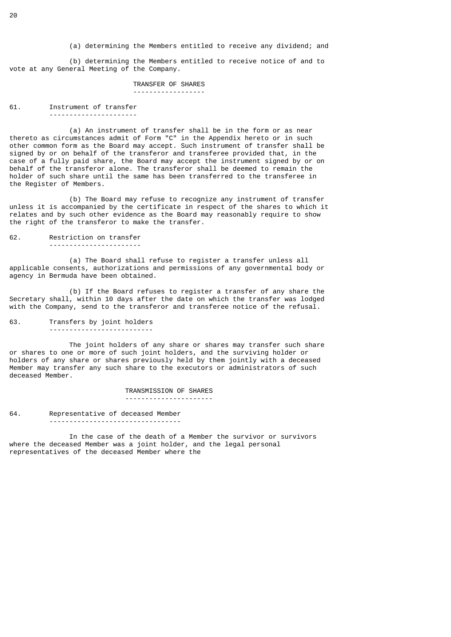(a) determining the Members entitled to receive any dividend; and

 (b) determining the Members entitled to receive notice of and to vote at any General Meeting of the Company.

### TRANSFER OF SHARES ------------------

## 61. Instrument of transfer ----------------------

 (a) An instrument of transfer shall be in the form or as near thereto as circumstances admit of Form "C" in the Appendix hereto or in such other common form as the Board may accept. Such instrument of transfer shall be signed by or on behalf of the transferor and transferee provided that, in the case of a fully paid share, the Board may accept the instrument signed by or on behalf of the transferor alone. The transferor shall be deemed to remain the holder of such share until the same has been transferred to the transferee in the Register of Members.

 (b) The Board may refuse to recognize any instrument of transfer unless it is accompanied by the certificate in respect of the shares to which it relates and by such other evidence as the Board may reasonably require to show the right of the transferor to make the transfer.

### 62. Restriction on transfer

-----------------------

 (a) The Board shall refuse to register a transfer unless all applicable consents, authorizations and permissions of any governmental body or agency in Bermuda have been obtained.

 (b) If the Board refuses to register a transfer of any share the Secretary shall, within 10 days after the date on which the transfer was lodged with the Company, send to the transferor and transferee notice of the refusal.

63. Transfers by joint holders --------------------------

 The joint holders of any share or shares may transfer such share or shares to one or more of such joint holders, and the surviving holder or holders of any share or shares previously held by them jointly with a deceased Member may transfer any such share to the executors or administrators of such deceased Member.

> TRANSMISSION OF SHARES ----------------------

64. Representative of deceased Member ---------------------------------

 In the case of the death of a Member the survivor or survivors where the deceased Member was a joint holder, and the legal personal representatives of the deceased Member where the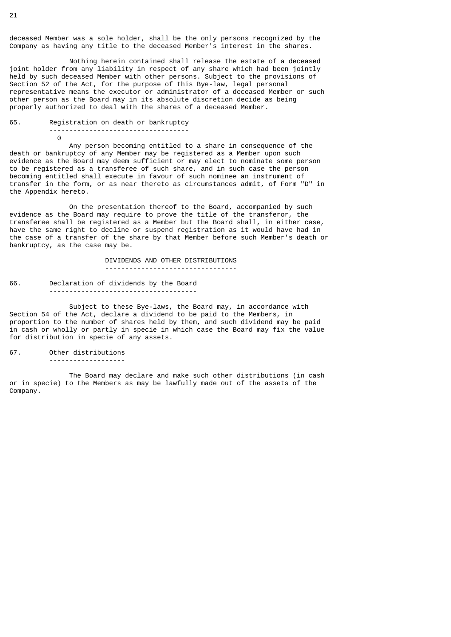deceased Member was a sole holder, shall be the only persons recognized by the Company as having any title to the deceased Member's interest in the shares.

 Nothing herein contained shall release the estate of a deceased joint holder from any liability in respect of any share which had been jointly held by such deceased Member with other persons. Subject to the provisions of Section 52 of the Act, for the purpose of this Bye-law, legal personal representative means the executor or administrator of a deceased Member or such other person as the Board may in its absolute discretion decide as being properly authorized to deal with the shares of a deceased Member.

### 65. Registration on death or bankruptcy ----------------------------------- 0

 Any person becoming entitled to a share in consequence of the death or bankruptcy of any Member may be registered as a Member upon such evidence as the Board may deem sufficient or may elect to nominate some person to be registered as a transferee of such share, and in such case the person becoming entitled shall execute in favour of such nominee an instrument of transfer in the form, or as near thereto as circumstances admit, of Form "D" in the Appendix hereto.

 On the presentation thereof to the Board, accompanied by such evidence as the Board may require to prove the title of the transferor, the transferee shall be registered as a Member but the Board shall, in either case, have the same right to decline or suspend registration as it would have had in the case of a transfer of the share by that Member before such Member's death or bankruptcy, as the case may be.

> DIVIDENDS AND OTHER DISTRIBUTIONS ---------------------------------

66. Declaration of dividends by the Board -------------------------------------

 Subject to these Bye-laws, the Board may, in accordance with Section 54 of the Act, declare a dividend to be paid to the Members, in proportion to the number of shares held by them, and such dividend may be paid in cash or wholly or partly in specie in which case the Board may fix the value for distribution in specie of any assets.

67. Other distributions

-------------------

 The Board may declare and make such other distributions (in cash or in specie) to the Members as may be lawfully made out of the assets of the Company.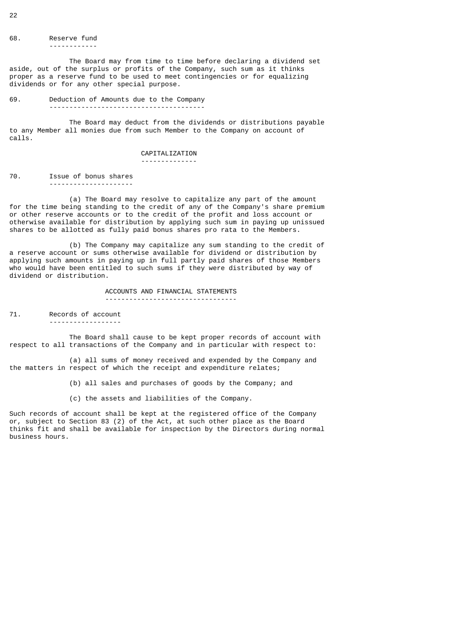68. Reserve fund ------------

 The Board may from time to time before declaring a dividend set aside, out of the surplus or profits of the Company, such sum as it thinks proper as a reserve fund to be used to meet contingencies or for equalizing dividends or for any other special purpose.

69. Deduction of Amounts due to the Company ---------------------------------------

 The Board may deduct from the dividends or distributions payable to any Member all monies due from such Member to the Company on account of calls.

### CAPITALIZATION

--------------

70. Issue of bonus shares ---------------------

 (a) The Board may resolve to capitalize any part of the amount for the time being standing to the credit of any of the Company's share premium or other reserve accounts or to the credit of the profit and loss account or otherwise available for distribution by applying such sum in paying up unissued shares to be allotted as fully paid bonus shares pro rata to the Members.

 (b) The Company may capitalize any sum standing to the credit of a reserve account or sums otherwise available for dividend or distribution by applying such amounts in paying up in full partly paid shares of those Members who would have been entitled to such sums if they were distributed by way of dividend or distribution.

> ACCOUNTS AND FINANCIAL STATEMENTS ---------------------------------

71. Records of account ------------------

 The Board shall cause to be kept proper records of account with respect to all transactions of the Company and in particular with respect to:

 (a) all sums of money received and expended by the Company and the matters in respect of which the receipt and expenditure relates;

(b) all sales and purchases of goods by the Company; and

(c) the assets and liabilities of the Company.

Such records of account shall be kept at the registered office of the Company or, subject to Section 83 (2) of the Act, at such other place as the Board thinks fit and shall be available for inspection by the Directors during normal business hours.

22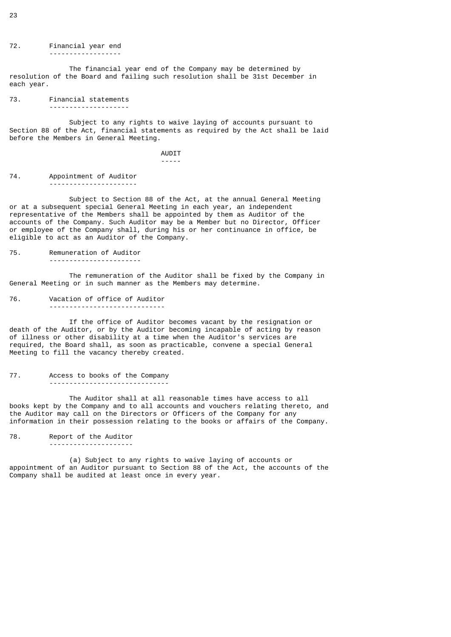72. Financial year end ------------------

 The financial year end of the Company may be determined by resolution of the Board and failing such resolution shall be 31st December in each year.

73. Financial statements --------------------

 Subject to any rights to waive laying of accounts pursuant to Section 88 of the Act, financial statements as required by the Act shall be laid before the Members in General Meeting.

 AUDIT -----

74. Appointment of Auditor ----------------------

 Subject to Section 88 of the Act, at the annual General Meeting or at a subsequent special General Meeting in each year, an independent representative of the Members shall be appointed by them as Auditor of the accounts of the Company. Such Auditor may be a Member but no Director, Officer or employee of the Company shall, during his or her continuance in office, be eligible to act as an Auditor of the Company.

75. Remuneration of Auditor -----------------------

 The remuneration of the Auditor shall be fixed by the Company in General Meeting or in such manner as the Members may determine.

76. Vacation of office of Auditor -----------------------------

 If the office of Auditor becomes vacant by the resignation or death of the Auditor, or by the Auditor becoming incapable of acting by reason of illness or other disability at a time when the Auditor's services are required, the Board shall, as soon as practicable, convene a special General Meeting to fill the vacancy thereby created.

77. Access to books of the Company ------------------------------

 The Auditor shall at all reasonable times have access to all books kept by the Company and to all accounts and vouchers relating thereto, and the Auditor may call on the Directors or Officers of the Company for any information in their possession relating to the books or affairs of the Company.

78. Report of the Auditor ---------------------

 (a) Subject to any rights to waive laying of accounts or appointment of an Auditor pursuant to Section 88 of the Act, the accounts of the Company shall be audited at least once in every year.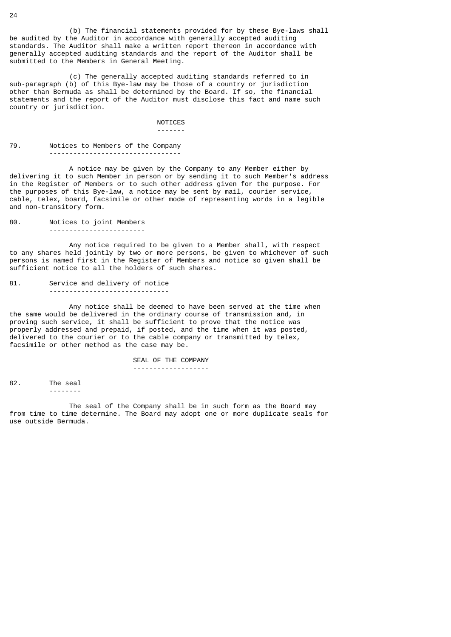(b) The financial statements provided for by these Bye-laws shall be audited by the Auditor in accordance with generally accepted auditing standards. The Auditor shall make a written report thereon in accordance with generally accepted auditing standards and the report of the Auditor shall be submitted to the Members in General Meeting.

 (c) The generally accepted auditing standards referred to in sub-paragraph (b) of this Bye-law may be those of a country or jurisdiction other than Bermuda as shall be determined by the Board. If so, the financial statements and the report of the Auditor must disclose this fact and name such country or jurisdiction.

 NOTICES -------

79. Notices to Members of the Company ---------------------------------

 A notice may be given by the Company to any Member either by delivering it to such Member in person or by sending it to such Member's address in the Register of Members or to such other address given for the purpose. For the purposes of this Bye-law, a notice may be sent by mail, courier service, cable, telex, board, facsimile or other mode of representing words in a legible and non-transitory form.

80. Notices to joint Members ------------------------

 Any notice required to be given to a Member shall, with respect to any shares held jointly by two or more persons, be given to whichever of such persons is named first in the Register of Members and notice so given shall be sufficient notice to all the holders of such shares.

81. Service and delivery of notice

------------------------------

 Any notice shall be deemed to have been served at the time when the same would be delivered in the ordinary course of transmission and, in proving such service, it shall be sufficient to prove that the notice was properly addressed and prepaid, if posted, and the time when it was posted, delivered to the courier or to the cable company or transmitted by telex, facsimile or other method as the case may be.

> SEAL OF THE COMPANY -------------------

82. The seal --------

 The seal of the Company shall be in such form as the Board may from time to time determine. The Board may adopt one or more duplicate seals for use outside Bermuda.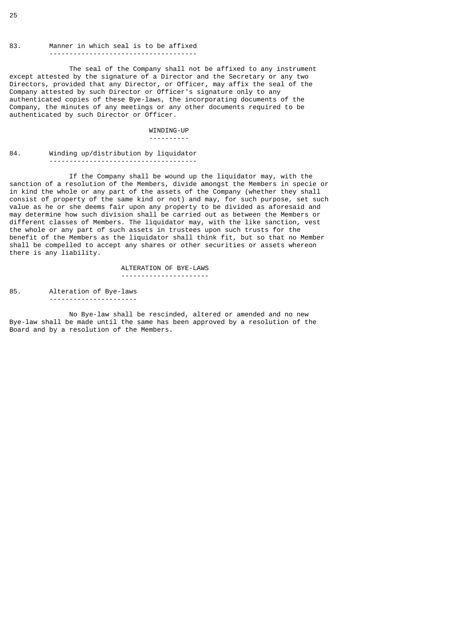### 83. Manner in which seal is to be affixed -------------------------------------

 The seal of the Company shall not be affixed to any instrument except attested by the signature of a Director and the Secretary or any two Directors, provided that any Director, or Officer, may affix the seal of the Company attested by such Director or Officer's signature only to any authenticated copies of these Bye-laws, the incorporating documents of the Company, the minutes of any meetings or any other documents required to be authenticated by such Director or Officer.

### WINDING-UP ----------

### 84. Winding up/distribution by liquidator -------------------------------------

 If the Company shall be wound up the liquidator may, with the sanction of a resolution of the Members, divide amongst the Members in specie or in kind the whole or any part of the assets of the Company (whether they shall consist of property of the same kind or not) and may, for such purpose, set such value as he or she deems fair upon any property to be divided as aforesaid and may determine how such division shall be carried out as between the Members or different classes of Members. The liquidator may, with the like sanction, vest the whole or any part of such assets in trustees upon such trusts for the benefit of the Members as the liquidator shall think fit, but so that no Member shall be compelled to accept any shares or other securities or assets whereon there is any liability.

> ALTERATION OF BYE-LAWS ----------------------

85. Alteration of Bye-laws ----------------------

 No Bye-law shall be rescinded, altered or amended and no new Bye-law shall be made until the same has been approved by a resolution of the Board and by a resolution of the Members.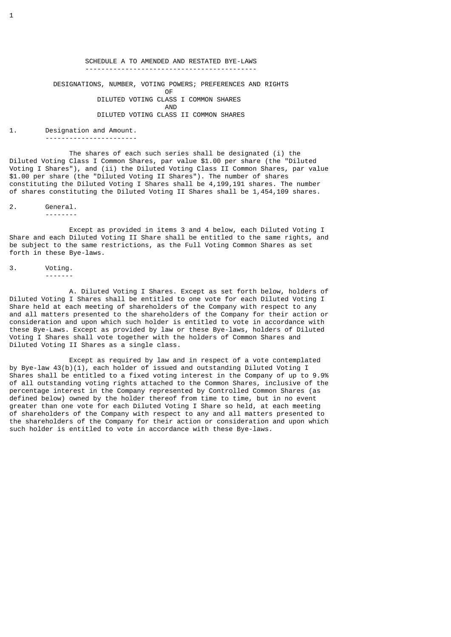# SCHEDULE A TO AMENDED AND RESTATED BYE-LAWS ------------------------------------------- DESIGNATIONS, NUMBER, VOTING POWERS; PREFERENCES AND RIGHTS **OF** the contract of the contract of the contract of the contract of the contract of the contract of the contract of the contract of the contract of the contract of the contract of the contract of the contract of the contr DILUTED VOTING CLASS I COMMON SHARES AND DILUTED VOTING CLASS II COMMON SHARES

### 1. Designation and Amount.

-----------------------

 The shares of each such series shall be designated (i) the Diluted Voting Class I Common Shares, par value \$1.00 per share (the "Diluted Voting I Shares"), and (ii) the Diluted Voting Class II Common Shares, par value \$1.00 per share (the "Diluted Voting II Shares"). The number of shares constituting the Diluted Voting I Shares shall be 4,199,191 shares. The number of shares constituting the Diluted Voting II Shares shall be 1,454,109 shares.

2. General. --------

 Except as provided in items 3 and 4 below, each Diluted Voting I Share and each Diluted Voting II Share shall be entitled to the same rights, and be subject to the same restrictions, as the Full Voting Common Shares as set forth in these Bye-laws.

### 3. Voting. -------

 A. Diluted Voting I Shares. Except as set forth below, holders of Diluted Voting I Shares shall be entitled to one vote for each Diluted Voting I Share held at each meeting of shareholders of the Company with respect to any and all matters presented to the shareholders of the Company for their action or consideration and upon which such holder is entitled to vote in accordance with these Bye-Laws. Except as provided by law or these Bye-laws, holders of Diluted Voting I Shares shall vote together with the holders of Common Shares and Diluted Voting II Shares as a single class.

 Except as required by law and in respect of a vote contemplated by Bye-law 43(b)(1), each holder of issued and outstanding Diluted Voting I Shares shall be entitled to a fixed voting interest in the Company of up to 9.9% of all outstanding voting rights attached to the Common Shares, inclusive of the percentage interest in the Company represented by Controlled Common Shares (as defined below) owned by the holder thereof from time to time, but in no event greater than one vote for each Diluted Voting I Share so held, at each meeting of shareholders of the Company with respect to any and all matters presented to the shareholders of the Company for their action or consideration and upon which such holder is entitled to vote in accordance with these Bye-laws.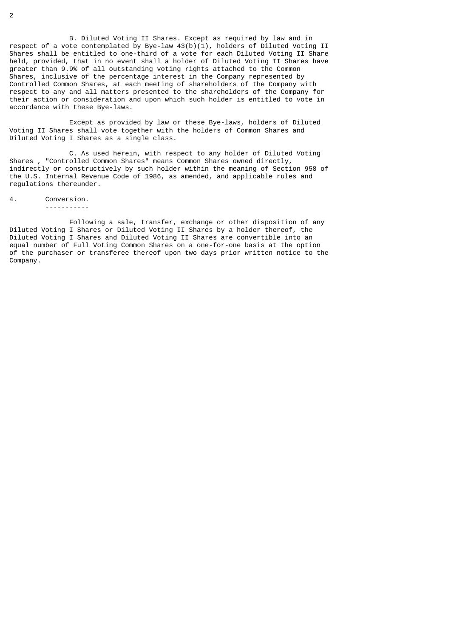B. Diluted Voting II Shares. Except as required by law and in respect of a vote contemplated by Bye-law  $43(b)(1)$ , holders of Diluted Voting II Shares shall be entitled to one-third of a vote for each Diluted Voting II Share held, provided, that in no event shall a holder of Diluted Voting II Shares have greater than 9.9% of all outstanding voting rights attached to the Common Shares, inclusive of the percentage interest in the Company represented by Controlled Common Shares, at each meeting of shareholders of the Company with respect to any and all matters presented to the shareholders of the Company for their action or consideration and upon which such holder is entitled to vote in accordance with these Bye-laws.

 Except as provided by law or these Bye-laws, holders of Diluted Voting II Shares shall vote together with the holders of Common Shares and Diluted Voting I Shares as a single class.

C. As used herein, with respect to any holder of Diluted Voting<br>Shares , "Controlled Common Shares" means Common Shares owned directly, "Controlled Common Shares" means Common Shares owned directly, indirectly or constructively by such holder within the meaning of Section 958 of the U.S. Internal Revenue Code of 1986, as amended, and applicable rules and regulations thereunder.

4. Conversion.

-----------

 Following a sale, transfer, exchange or other disposition of any Diluted Voting I Shares or Diluted Voting II Shares by a holder thereof, the Diluted Voting I Shares and Diluted Voting II Shares are convertible into an equal number of Full Voting Common Shares on a one-for-one basis at the option of the purchaser or transferee thereof upon two days prior written notice to the Company.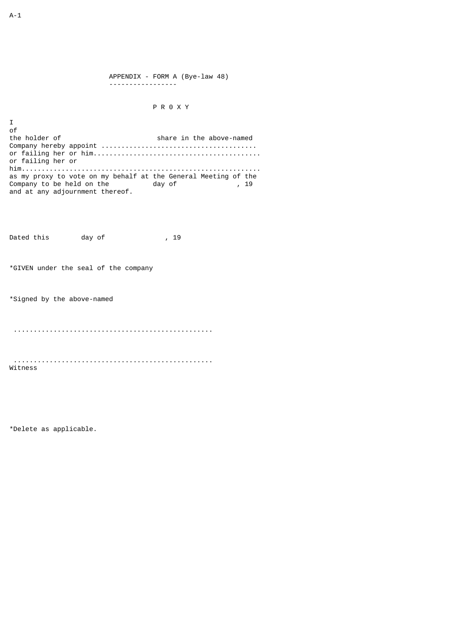APPENDIX - FORM A (Bye-law 48) -----------------

## P R 0 X Y

of<br>the holder of share in the above-named Company hereby appoint ....................................... or failing her or him.......................................... or failing her or him............................................................ as my proxy to vote on my behalf at the General Meeting of the Company to be held on the day of , 19 and at any adjournment thereof.

Dated this day of , 19

\*GIVEN under the seal of the company

\*Signed by the above-named

..................................................

 .................................................. Witness

\*Delete as applicable.

I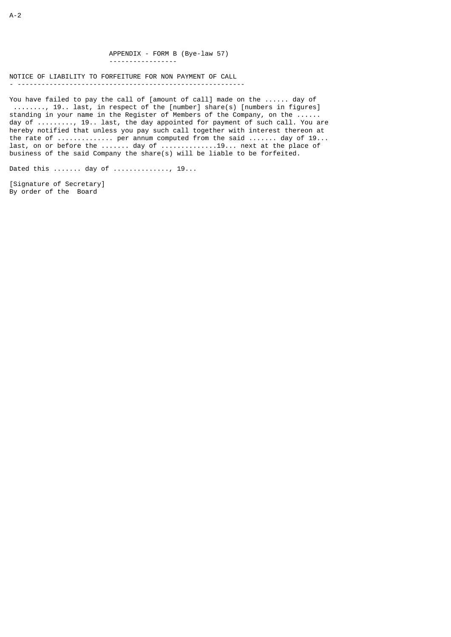APPENDIX - FORM B (Bye-law 57) -----------------

NOTICE OF LIABILITY TO FORFEITURE FOR NON PAYMENT OF CALL - ---------------------------------------------------------

You have failed to pay the call of [amount of call] made on the ...... day of ........, 19.. last, in respect of the [number] share(s) [numbers in figures] standing in your name in the Register of Members of the Company, on the ...... day of ........., 19.. last, the day appointed for payment of such call. You are hereby notified that unless you pay such call together with interest thereon at the rate of ................. per annum computed from the said ....... day of 19... last, on or before the  $\dots \dots$  day of  $\dots \dots \dots \dots 19\dots$  next at the place of business of the said Company the share(s) will be liable to be forfeited.

Dated this ....... day of .............., 19...

[Signature of Secretary] By order of the Board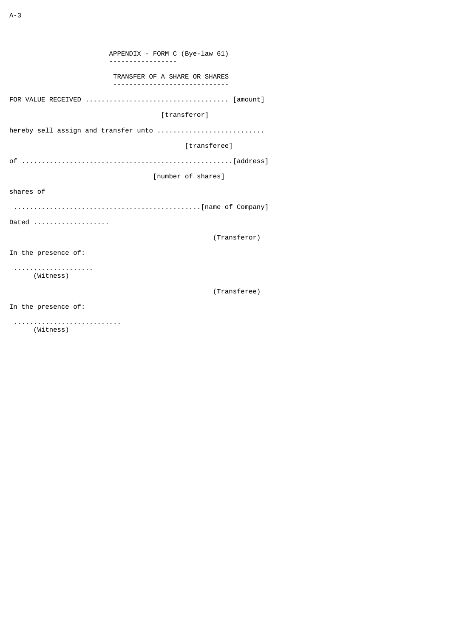APPENDIX - FORM C (Bye-law 61) ----------------- TRANSFER OF A SHARE OR SHARES ----------------------------- FOR VALUE RECEIVED .................................... [amount] [transferor] hereby sell assign and transfer unto ............................. [transferee] of .....................................................[address] [number of shares] shares of ...............................................[name of Company] Dated ................... (Transferor) In the presence of: .................... (Witness) (Transferee) In the presence of:

 ........................... (Witness)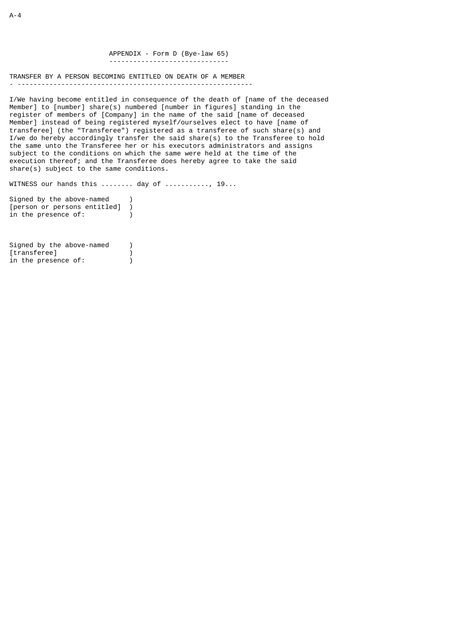APPENDIX - Form D (Bye-law 65) ------------------------------

TRANSFER BY A PERSON BECOMING ENTITLED ON DEATH OF A MEMBER - -----------------------------------------------------------

I/We having become entitled in consequence of the death of [name of the deceased Member] to [number] share(s) numbered [number in figures] standing in the register of members of [Company] in the name of the said [name of deceased Member] instead of being registered myself/ourselves elect to have [name of transferee] (the "Transferee") registered as a transferee of such share(s) and I/we do hereby accordingly transfer the said share(s) to the Transferee to hold the same unto the Transferee her or his executors administrators and assigns subject to the conditions on which the same were held at the time of the execution thereof; and the Transferee does hereby agree to take the said share(s) subject to the same conditions.

WITNESS our hands this ........ day of ..........., 19...

Signed by the above-named ) [person or persons entitled] ) in the presence of: (1)

Signed by the above-named )<br>[transferee] [transferee] in the presence of:  $\overrightarrow{)}$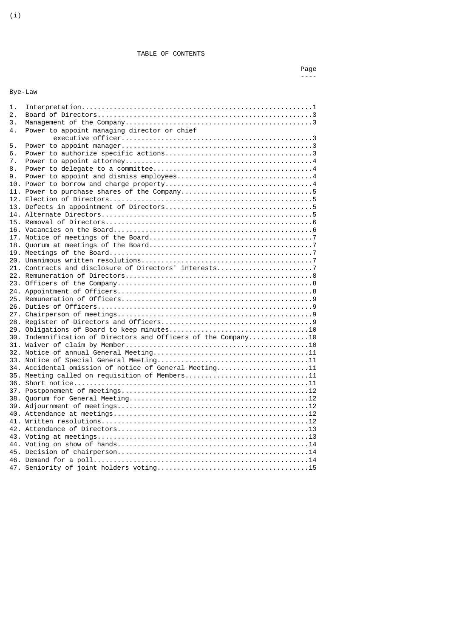TABLE OF CONTENTS

# Bye-Law

| 1.  |                                                                |
|-----|----------------------------------------------------------------|
| 2.  |                                                                |
| 3.  |                                                                |
| 4.  | Power to appoint managing director or chief                    |
|     |                                                                |
| 5.  |                                                                |
| 6.  |                                                                |
| 7.  |                                                                |
| 8.  |                                                                |
| 9.  |                                                                |
|     |                                                                |
|     |                                                                |
|     |                                                                |
|     |                                                                |
| 13. |                                                                |
|     |                                                                |
|     |                                                                |
|     |                                                                |
|     |                                                                |
|     |                                                                |
|     |                                                                |
|     |                                                                |
|     | 21. Contracts and disclosure of Directors' interests7          |
|     |                                                                |
|     |                                                                |
|     |                                                                |
|     |                                                                |
|     |                                                                |
|     |                                                                |
|     |                                                                |
|     |                                                                |
|     | 30. Indemnification of Directors and Officers of the Company10 |
|     |                                                                |
|     |                                                                |
|     |                                                                |
|     |                                                                |
|     | 34. Accidental omission of notice of General Meeting11         |
|     | 35. Meeting called on requisition of Members11                 |
|     |                                                                |
|     |                                                                |
|     |                                                                |
|     |                                                                |
|     |                                                                |
|     |                                                                |
|     |                                                                |
|     |                                                                |
|     |                                                                |
|     |                                                                |
|     |                                                                |
|     |                                                                |
|     |                                                                |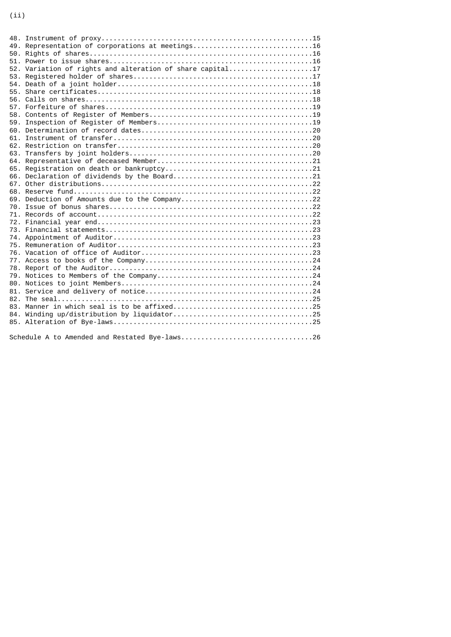| 48. |                                                           |
|-----|-----------------------------------------------------------|
|     | 49. Representation of corporations at meetings 16         |
|     |                                                           |
|     |                                                           |
|     | 52. Variation of rights and alteration of share capital17 |
|     |                                                           |
| 54. |                                                           |
| 55. |                                                           |
| 56. |                                                           |
| 57. |                                                           |
| 58. |                                                           |
| 59. |                                                           |
|     |                                                           |
| 61. |                                                           |
|     |                                                           |
| 63. |                                                           |
| 64. |                                                           |
| 65. |                                                           |
|     |                                                           |
|     |                                                           |
|     |                                                           |
| 69. |                                                           |
| 70. |                                                           |
| 71. |                                                           |
|     |                                                           |
|     |                                                           |
|     |                                                           |
|     |                                                           |
|     |                                                           |
|     |                                                           |
|     |                                                           |
|     |                                                           |
|     |                                                           |
|     |                                                           |
|     |                                                           |
|     |                                                           |
|     |                                                           |
|     |                                                           |
|     |                                                           |
|     |                                                           |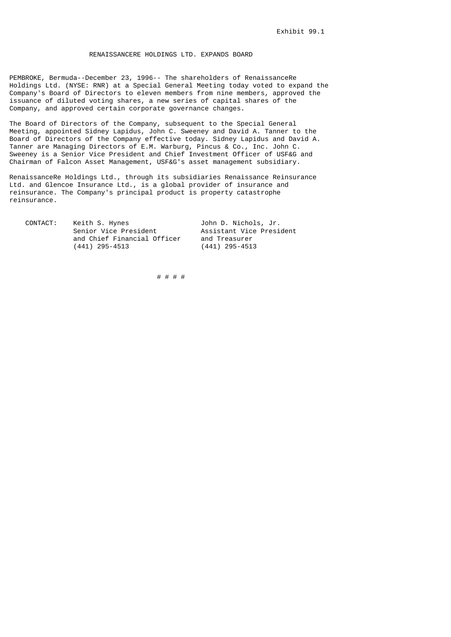## RENAISSANCERE HOLDINGS LTD. EXPANDS BOARD

PEMBROKE, Bermuda--December 23, 1996-- The shareholders of RenaissanceRe Holdings Ltd. (NYSE: RNR) at a Special General Meeting today voted to expand the Company's Board of Directors to eleven members from nine members, approved the issuance of diluted voting shares, a new series of capital shares of the Company, and approved certain corporate governance changes.

The Board of Directors of the Company, subsequent to the Special General Meeting, appointed Sidney Lapidus, John C. Sweeney and David A. Tanner to the Board of Directors of the Company effective today. Sidney Lapidus and David A. Tanner are Managing Directors of E.M. Warburg, Pincus & Co., Inc. John C. Sweeney is a Senior Vice President and Chief Investment Officer of USF&G and Chairman of Falcon Asset Management, USF&G's asset management subsidiary.

RenaissanceRe Holdings Ltd., through its subsidiaries Renaissance Reinsurance Ltd. and Glencoe Insurance Ltd., is a global provider of insurance and reinsurance. The Company's principal product is property catastrophe reinsurance.

| CONTACT: | Keith S. Hynes              | John D. Nichols, Jr.     |
|----------|-----------------------------|--------------------------|
|          | Senior Vice President       | Assistant Vice President |
|          | and Chief Financial Officer | and Treasurer            |
|          | (441) 295-4513              | $(441)$ 295-4513         |

# # # #